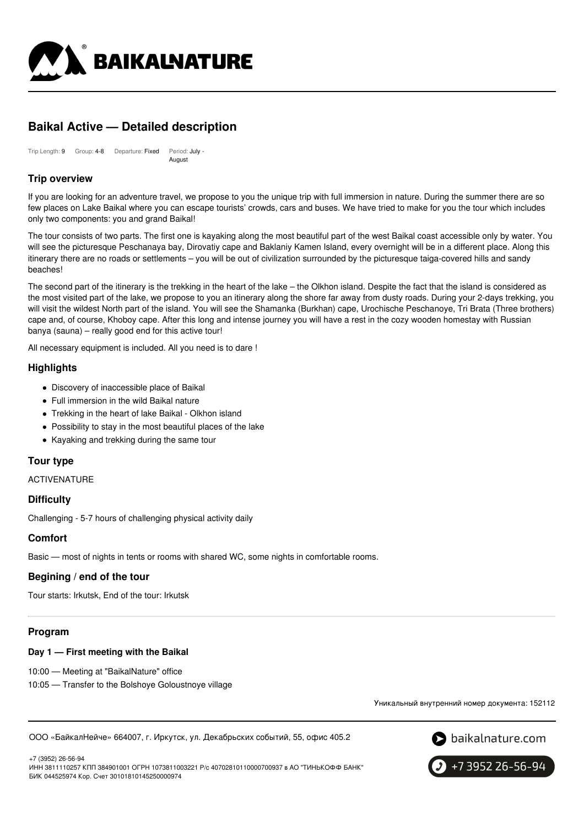

# **Baikal Active — Detailed description**

Trip Length: 9 Group: 4-8 Departure: Fixed Period: July - August

# **Trip overview**

If you are looking for an adventure travel, we propose to you the unique trip with full immersion in nature. During the summer there are so few places on Lake Baikal where you can escape tourists' crowds, cars and buses. We have tried to make for you the tour which includes only two components: you and grand Baikal!

The tour consists of two parts. The first one is kayaking along the most beautiful part of the west Baikal coast accessible only by water. You will see the picturesque Peschanaya bay, Dirovatiy cape and Baklaniy Kamen Island, every overnight will be in a different place. Along this itinerary there are no roads or settlements – you will be out of civilization surrounded by the picturesque taiga-covered hills and sandy beaches!

The second part of the itinerary is the trekking in the heart of the lake – the Olkhon island. Despite the fact that the island is considered as the most visited part of the lake, we propose to you an itinerary along the shore far away from dusty roads. During your 2-days trekking, you will visit the wildest North part of the island. You will see the Shamanka (Burkhan) cape, Urochische Peschanoye, Tri Brata (Three brothers) cape and, of course, Khoboy cape. After this long and intense journey you will have a rest in the cozy wooden homestay with Russian banya (sauna) – really good end for this active tour!

All necessary equipment is included. All you need is to dare !

# **Highlights**

- Discovery of inaccessible place of Baikal
- Full immersion in the wild Baikal nature
- Trekking in the heart of lake Baikal Olkhon island
- Possibility to stay in the most beautiful places of the lake
- Kayaking and trekking during the same tour

# **Tour type**

ACTIVENATURE

### **Difficulty**

Challenging - 5-7 hours of challenging physical activity daily

### **Comfort**

Basic — most of nights in tents or rooms with shared WC, some nights in comfortable rooms.

# **Begining / end of the tour**

Tour starts: Irkutsk, End of the tour: Irkutsk

# **Program**

### **Day 1 — First meeting with the Baikal**

10:00 — Meeting at "BaikalNature" office

10:05 — Transfer to the Bolshoye Goloustnoye village

Уникальный внутренний номер документа: 152112

ООО «БайкалНейче» 664007, г. Иркутск, ул. Декабрьских событий, 55, офис 405.2



+7 (3952) 26-56-94 ИНН 3811110257 КПП 384901001 ОГРН 1073811003221 Р/с 40702810110000700937 в АО "ТИНЬКОФФ БАНК" БИК 044525974 Кор. Счет 30101810145250000974

+7 3952 26-56-94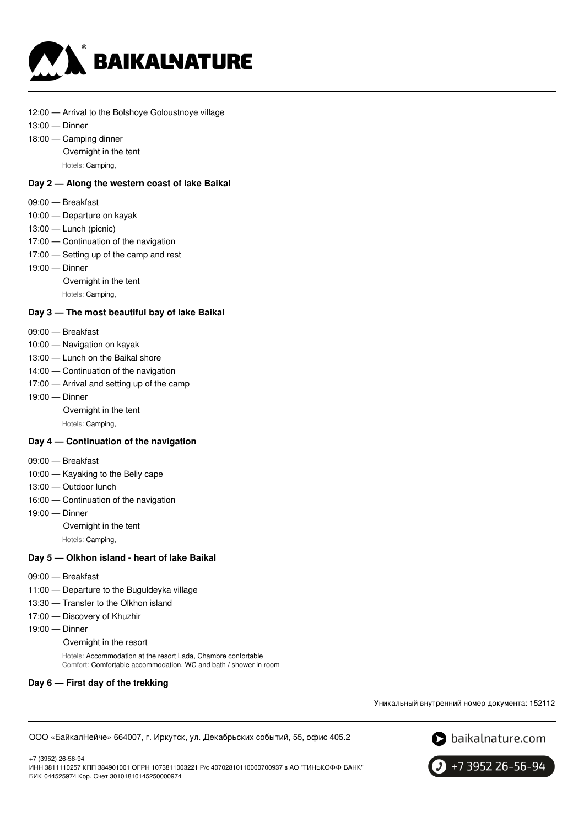

- 12:00 Arrival to the Bolshoye Goloustnoye village
- 13:00 Dinner
- 18:00 Camping dinner Overnight in the tent Hotels: Camping,

#### **Day 2 — Along the western coast of lake Baikal**

- 09:00 Breakfast
- 10:00 Departure on kayak
- 13:00 Lunch (picnic)
- 17:00 Continuation of the navigation
- 17:00 Setting up of the camp and rest
- 19:00 Dinner
	- Overnight in the tent
	- Hotels: Camping,

#### **Day 3 — The most beautiful bay of lake Baikal**

- 09:00 Breakfast
- 10:00 Navigation on kayak
- 13:00 Lunch on the Baikal shore
- 14:00 Continuation of the navigation
- 17:00 Arrival and setting up of the camp
- 19:00 Dinner
	- Overnight in the tent

Hotels: Camping,

#### **Day 4 — Continuation of the navigation**

- 09:00 Breakfast
- 10:00 Kayaking to the Beliy cape
- 13:00 Outdoor lunch
- 16:00 Continuation of the navigation
- 19:00 Dinner
	- Overnight in the tent
	- Hotels: Camping,

#### **Day 5 — Olkhon island - heart of lake Baikal**

- 09:00 Breakfast
- 11:00 Departure to the Buguldeyka village
- 13:30 Transfer to the Olkhon island
- 17:00 Discovery of Khuzhir
- 19:00 Dinner
	- Overnight in the resort

Hotels: Accommodation at the resort Lada, Chambre confortable Comfort: Comfortable accommodation, WC and bath / shower in room

#### **Day 6 — First day of the trekking**

Уникальный внутренний номер документа: 152112

ООО «БайкалНейче» 664007, г. Иркутск, ул. Декабрьских событий, 55, офис 405.2



+7 (3952) 26-56-94 ИНН 3811110257 КПП 384901001 ОГРН 1073811003221 Р/с 40702810110000700937 в АО "ТИНЬКОФФ БАНК" БИК 044525974 Кор. Счет 30101810145250000974

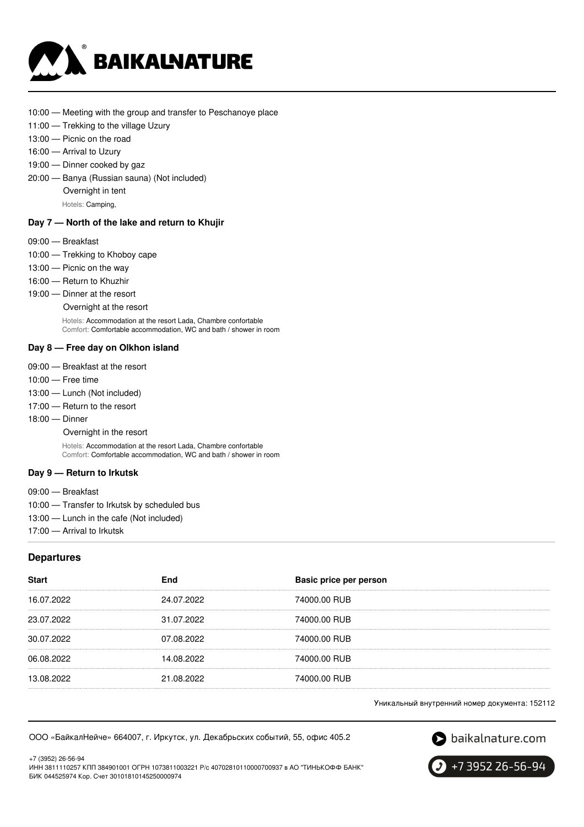

- 10:00 Meeting with the group and transfer to Peschanoye place
- 11:00 Trekking to the village Uzury
- 13:00 Picnic on the road
- 16:00 Arrival to Uzury
- 19:00 Dinner cooked by gaz
- 20:00 Banya (Russian sauna) (Not included) Overnight in tent
	- Hotels: Camping,

### **Day 7 — North of the lake and return to Khujir**

- 09:00 Breakfast
- 10:00 Trekking to Khoboy cape
- 13:00 Picnic on the way
- 16:00 Return to Khuzhir
- 19:00 Dinner at the resort
	- Overnight at the resort

Hotels: Accommodation at the resort Lada, Chambre confortable Comfort: Comfortable accommodation, WC and bath / shower in room

#### **Day 8 — Free day on Olkhon island**

- 09:00 Breakfast at the resort
- 10:00 Free time
- 13:00 Lunch (Not included)
- 17:00 Return to the resort
- 18:00 Dinner

Overnight in the resort

Hotels: Accommodation at the resort Lada, Chambre confortable Comfort: Comfortable accommodation, WC and bath / shower in room

#### **Day 9 — Return to Irkutsk**

09:00 — Breakfast

- 10:00 Transfer to Irkutsk by scheduled bus
- 13:00 Lunch in the cafe (Not included)

17:00 — Arrival to Irkutsk

#### **Departures**

| <b>Start</b> | End        | Basic price per person |
|--------------|------------|------------------------|
| 16.07.2022   | 24.07.2022 | 74000.00 RUB           |
| 23.07.2022   | 31.07.2022 | 74000.00 RUB           |
| 30.07.2022   | 07.08.2022 | 74000.00 RUB           |
| 06.08.2022   | 14.08.2022 | 74000.00 RUB           |
| 13.08.2022   | 21.08.2022 | 74000.00 RUB           |

Уникальный внутренний номер документа: 152112

ООО «БайкалНейче» 664007, г. Иркутск, ул. Декабрьских событий, 55, офис 405.2



S baikalnature.com

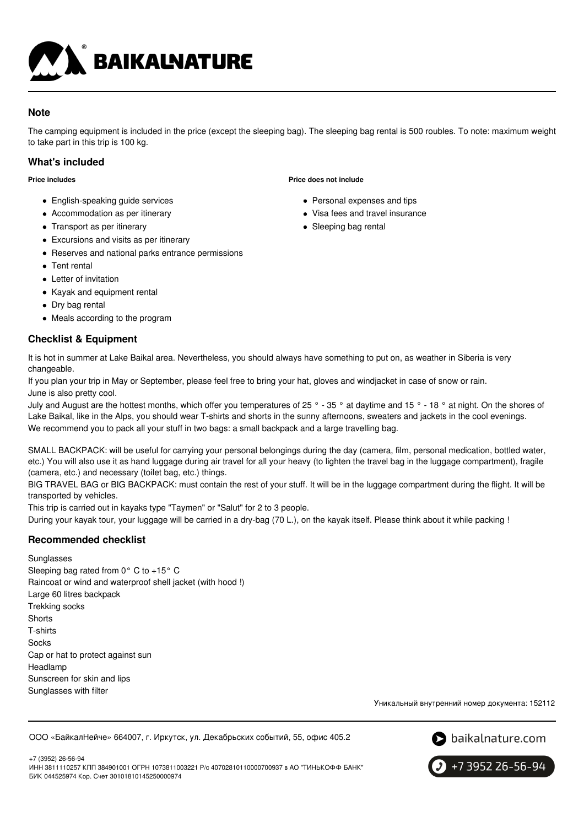

# **Note**

The camping equipment is included in the price (except the sleeping bag). The sleeping bag rental is 500 roubles. To note: maximum weight to take part in this trip is 100 kg.

# **What's included**

**Price includes**

- English-speaking quide services
- Accommodation as per itinerary
- Transport as per itinerary
- Excursions and visits as per itinerary
- Reserves and national parks entrance permissions
- Tent rental
- Letter of invitation
- Kayak and equipment rental
- Dry bag rental
- Meals according to the program

# **Checklist & Equipment**

• Personal expenses and tips

**Price does not include**

- Visa fees and travel insurance
- Sleeping bag rental

It is hot in summer at Lake Baikal area. Nevertheless, you should always have something to put on, as weather in Siberia is very changeable.

If you plan your trip in May or September, please feel free to bring your hat, gloves and windjacket in case of snow or rain. June is also pretty cool.

July and August are the hottest months, which offer you temperatures of 25 ° - 35 ° at daytime and 15 ° - 18 ° at night. On the shores of Lake Baikal, like in the Alps, you should wear T-shirts and shorts in the sunny afternoons, sweaters and jackets in the cool evenings. We recommend you to pack all your stuff in two bags: a small backpack and a large travelling bag.

SMALL BACKPACK: will be useful for carrying your personal belongings during the day (camera, film, personal medication, bottled water, etc.) You will also use it as hand luggage during air travel for all your heavy (to lighten the travel bag in the luggage compartment), fragile (camera, etc.) and necessary (toilet bag, etc.) things.

BIG TRAVEL BAG or BIG BACKPACK: must contain the rest of your stuff. It will be in the luggage compartment during the flight. It will be transported by vehicles.

This trip is carried out in kayaks type "Taymen" or "Salut" for 2 to 3 people.

During your kayak tour, your luggage will be carried in a dry-bag (70 L.), on the kayak itself. Please think about it while packing !

# **Recommended checklist**

### Sunglasses

Sleeping bag rated from 0° C to +15° C Raincoat or wind and waterproof shell jacket (with hood !) Large 60 litres backpack Trekking socks **Shorts** T-shirts Socks Cap or hat to protect against sun Headlamp Sunscreen for skin and lips Sunglasses with filter

Уникальный внутренний номер документа: 152112

ООО «БайкалНейче» 664007, г. Иркутск, ул. Декабрьских событий, 55, офис 405.2





+7 3952 26-56-94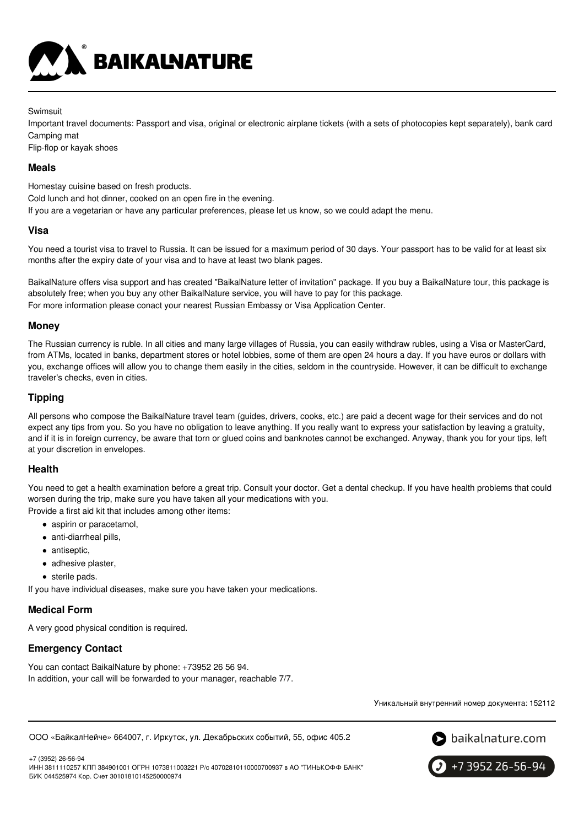

Swimsuit

Important travel documents: Passport and visa, original or electronic airplane tickets (with a sets of photocopies kept separately), bank card Camping mat

Flip-flop or kayak shoes

### **Meals**

Homestay cuisine based on fresh products.

Cold lunch and hot dinner, cooked on an open fire in the evening.

If you are a vegetarian or have any particular preferences, please let us know, so we could adapt the menu.

#### **Visa**

You need a tourist visa to travel to Russia. It can be issued for a maximum period of 30 days. Your passport has to be valid for at least six months after the expiry date of your visa and to have at least two blank pages.

BaikalNature offers visa support and has created "BaikalNature letter of invitation" package. If you buy a BaikalNature tour, this package is absolutely free; when you buy any other BaikalNature service, you will have to pay for this package. For more information please conact your nearest Russian Embassy or Visa Application Center.

### **Money**

The Russian currency is ruble. In all cities and many large villages of Russia, you can easily withdraw rubles, using a Visa or MasterCard, from ATMs, located in banks, department stores or hotel lobbies, some of them are open 24 hours a day. If you have euros or dollars with you, exchange offices will allow you to change them easily in the cities, seldom in the countryside. However, it can be difficult to exchange traveler's checks, even in cities.

### **Tipping**

All persons who compose the BaikalNature travel team (guides, drivers, cooks, etc.) are paid a decent wage for their services and do not expect any tips from you. So you have no obligation to leave anything. If you really want to express your satisfaction by leaving a gratuity, and if it is in foreign currency, be aware that torn or glued coins and banknotes cannot be exchanged. Anyway, thank you for your tips, left at your discretion in envelopes.

### **Health**

You need to get a health examination before a great trip. Consult your doctor. Get a dental checkup. If you have health problems that could worsen during the trip, make sure you have taken all your medications with you.

Provide a first aid kit that includes among other items:

- aspirin or paracetamol,
- anti-diarrheal pills,
- antiseptic,
- adhesive plaster,
- sterile pads.

If you have individual diseases, make sure you have taken your medications.

# **Medical Form**

A very good physical condition is required.

# **Emergency Contact**

You can contact BaikalNature by phone: +73952 26 56 94. In addition, your call will be forwarded to your manager, reachable 7/7.

Уникальный внутренний номер документа: 152112

ООО «БайкалНейче» 664007, г. Иркутск, ул. Декабрьских событий, 55, офис 405.2



+7 (3952) 26-56-94 ИНН 3811110257 КПП 384901001 ОГРН 1073811003221 Р/с 40702810110000700937 в АО "ТИНЬКОФФ БАНК" БИК 044525974 Кор. Счет 30101810145250000974

+7 3952 26-56-94